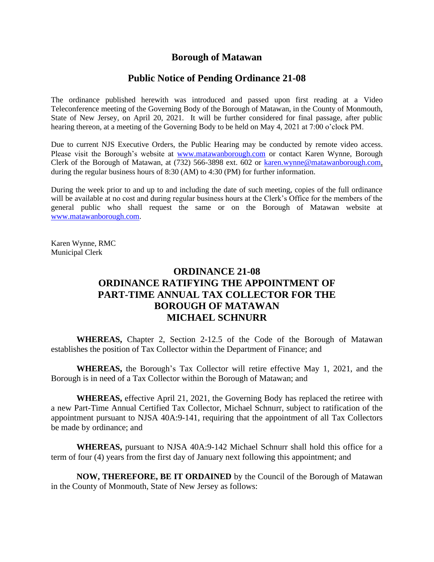# **Borough of Matawan**

## **Public Notice of Pending Ordinance 21-08**

The ordinance published herewith was introduced and passed upon first reading at a Video Teleconference meeting of the Governing Body of the Borough of Matawan, in the County of Monmouth, State of New Jersey, on April 20, 2021. It will be further considered for final passage, after public hearing thereon, at a meeting of the Governing Body to be held on May 4, 2021 at 7:00 o'clock PM.

Due to current NJS Executive Orders, the Public Hearing may be conducted by remote video access. Please visit the Borough's website at [www.matawanborough.com](http://www.matawanborough.com/) or contact Karen Wynne, Borough Clerk of the Borough of Matawan, at (732) 566-3898 ext. 602 or [karen.wynne@matawanborough.com,](mailto:karen.wynne@matawanborough.com) during the regular business hours of 8:30 (AM) to 4:30 (PM) for further information.

During the week prior to and up to and including the date of such meeting, copies of the full ordinance will be available at no cost and during regular business hours at the Clerk's Office for the members of the general public who shall request the same or on the Borough of Matawan website at [www.matawanborough.com.](http://www.matawanborough.com/)

Karen Wynne, RMC Municipal Clerk

# **ORDINANCE 21-08 ORDINANCE RATIFYING THE APPOINTMENT OF PART-TIME ANNUAL TAX COLLECTOR FOR THE BOROUGH OF MATAWAN MICHAEL SCHNURR**

**WHEREAS,** Chapter 2, Section 2-12.5 of the Code of the Borough of Matawan establishes the position of Tax Collector within the Department of Finance; and

**WHEREAS,** the Borough's Tax Collector will retire effective May 1, 2021, and the Borough is in need of a Tax Collector within the Borough of Matawan; and

**WHEREAS,** effective April 21, 2021, the Governing Body has replaced the retiree with a new Part-Time Annual Certified Tax Collector, Michael Schnurr, subject to ratification of the appointment pursuant to NJSA 40A:9-141, requiring that the appointment of all Tax Collectors be made by ordinance; and

**WHEREAS,** pursuant to NJSA 40A:9-142 Michael Schnurr shall hold this office for a term of four (4) years from the first day of January next following this appointment; and

**NOW, THEREFORE, BE IT ORDAINED** by the Council of the Borough of Matawan in the County of Monmouth, State of New Jersey as follows: